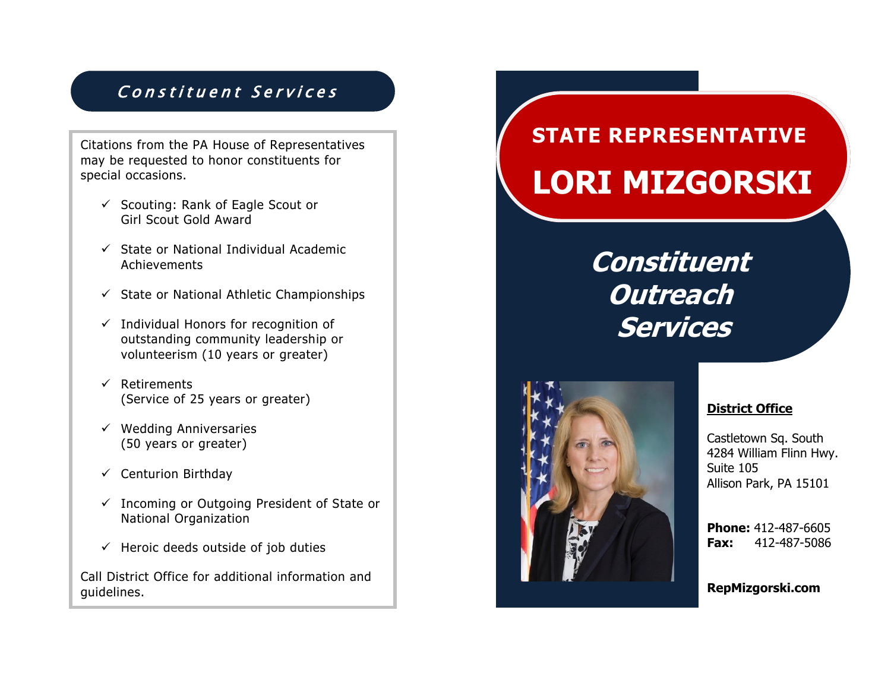### Constituent Services

Citations from the PA House of Representatives may be requested to honor constituents for special occasions.

- ✓ Scouting: Rank of Eagle Scout or Girl Scout Gold Award
- ✓ State or National Individual Academic Achievements
- $\checkmark$  State or National Athletic Championships
- $\checkmark$  Individual Honors for recognition of outstanding community leadership or volunteerism (10 years or greater)
- ✓ Retirements (Service of 25 years or greater)
- $\checkmark$  Wedding Anniversaries (50 years or greater)
- $\checkmark$  Centurion Birthday
- ✓ Incoming or Outgoing President of State or National Organization
- $\checkmark$  Heroic deeds outside of job duties

Call District Office for additional information and guidelines.

# **STATE REPRESENTATIVE LORI MIZGORSKI**

## **Constituent Outreach Services**



#### **District Office**

Castletown Sq. South 4284 William Flinn Hwy. Suite 105 Allison Park, PA 15101

**Phone:** 412-487-6605 **Fax:** 412-487-5086

**RepMizgorski.com**